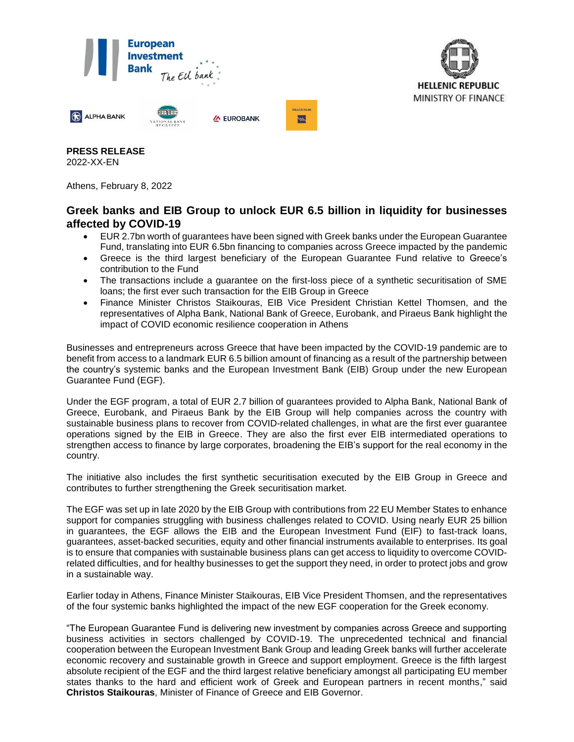



**PRESS RELEASE** 2022-XX-EN

Athens, February 8, 2022

## **Greek banks and EIB Group to unlock EUR 6.5 billion in liquidity for businesses affected by COVID-19**

- EUR 2.7bn worth of guarantees have been signed with Greek banks under the European Guarantee Fund, translating into EUR 6.5bn financing to companies across Greece impacted by the pandemic
- Greece is the third largest beneficiary of the European Guarantee Fund relative to Greece's contribution to the Fund
- The transactions include a guarantee on the first-loss piece of a synthetic securitisation of SME loans; the first ever such transaction for the EIB Group in Greece
- Finance Minister Christos Staikouras, EIB Vice President Christian Kettel Thomsen, and the representatives of Alpha Bank, National Bank of Greece, Eurobank, and Piraeus Bank highlight the impact of COVID economic resilience cooperation in Athens

Businesses and entrepreneurs across Greece that have been impacted by the COVID-19 pandemic are to benefit from access to a landmark EUR 6.5 billion amount of financing as a result of the partnership between the country's systemic banks and the European Investment Bank (EIB) Group under the new European Guarantee Fund (EGF).

Under the EGF program, a total of EUR 2.7 billion of guarantees provided to Alpha Bank, National Bank of Greece, Eurobank, and Piraeus Bank by the EIB Group will help companies across the country with sustainable business plans to recover from COVID-related challenges, in what are the first ever guarantee operations signed by the EIB in Greece. They are also the first ever EIB intermediated operations to strengthen access to finance by large corporates, broadening the EIB's support for the real economy in the country.

The initiative also includes the first synthetic securitisation executed by the EIB Group in Greece and contributes to further strengthening the Greek securitisation market.

The EGF was set up in late 2020 by the EIB Group with contributions from 22 EU Member States to enhance support for companies struggling with business challenges related to COVID. Using nearly EUR 25 billion in guarantees, the EGF allows the EIB and the European Investment Fund (EIF) to fast-track loans, guarantees, asset-backed securities, equity and other financial instruments available to enterprises. Its goal is to ensure that companies with sustainable business plans can get access to liquidity to overcome COVIDrelated difficulties, and for healthy businesses to get the support they need, in order to protect jobs and grow in a sustainable way.

Earlier today in Athens, Finance Minister Staikouras, EIB Vice President Thomsen, and the representatives of the four systemic banks highlighted the impact of the new EGF cooperation for the Greek economy.

"The European Guarantee Fund is delivering new investment by companies across Greece and supporting business activities in sectors challenged by COVID-19. The unprecedented technical and financial cooperation between the European Investment Bank Group and leading Greek banks will further accelerate economic recovery and sustainable growth in Greece and support employment. Greece is the fifth largest absolute recipient of the EGF and the third largest relative beneficiary amongst all participating EU member states thanks to the hard and efficient work of Greek and European partners in recent months," said **Christos Staikouras**, Minister of Finance of Greece and EIB Governor.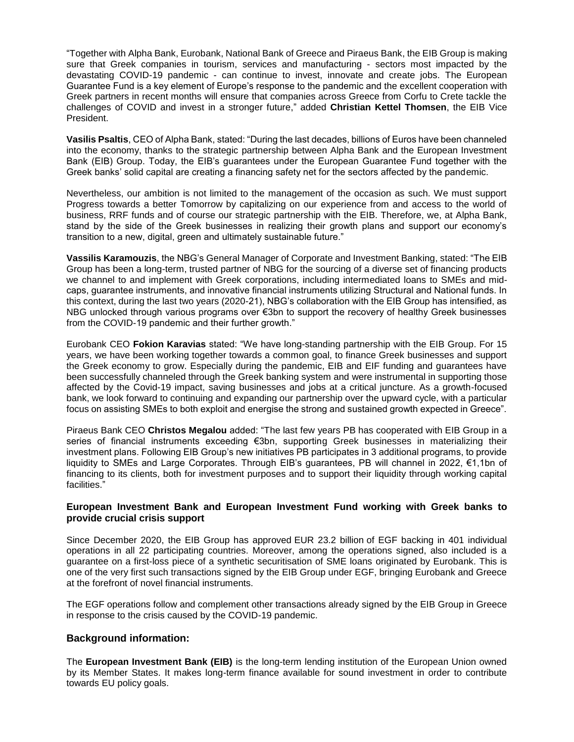"Together with Alpha Bank, Eurobank, National Bank of Greece and Piraeus Bank, the EIB Group is making sure that Greek companies in tourism, services and manufacturing - sectors most impacted by the devastating COVID-19 pandemic - can continue to invest, innovate and create jobs. The European Guarantee Fund is a key element of Europe's response to the pandemic and the excellent cooperation with Greek partners in recent months will ensure that companies across Greece from Corfu to Crete tackle the challenges of COVID and invest in a stronger future," added **Christian Kettel Thomsen**, the EIB Vice President.

**Vasilis Psaltis**, CEO of Alpha Bank, stated: "During the last decades, billions of Euros have been channeled into the economy, thanks to the strategic partnership between Alpha Bank and the European Investment Bank (ΕΙΒ) Group. Today, the EIB's guarantees under the European Guarantee Fund together with the Greek banks' solid capital are creating a financing safety net for the sectors affected by the pandemic.

Nevertheless, our ambition is not limited to the management of the occasion as such. We must support Progress towards a better Tomorrow by capitalizing on our experience from and access to the world of business, RRF funds and of course our strategic partnership with the EIB. Therefore, we, at Alpha Bank, stand by the side of the Greek businesses in realizing their growth plans and support our economy's transition to a new, digital, green and ultimately sustainable future."

**Vassilis Karamouzis**, the NBG's General Manager of Corporate and Investment Banking, stated: "The EIB Group has been a long-term, trusted partner of NBG for the sourcing of a diverse set of financing products we channel to and implement with Greek corporations, including intermediated loans to SMEs and midcaps, guarantee instruments, and innovative financial instruments utilizing Structural and Νational funds. In this context, during the last two years (2020-21), NBG's collaboration with the EIB Group has intensified, as NBG unlocked through various programs over €3bn to support the recovery of healthy Greek businesses from the COVID-19 pandemic and their further growth."

Eurobank CEO **Fokion Karavias** stated: "We have long-standing partnership with the EIB Group. For 15 years, we have been working together towards a common goal, to finance Greek businesses and support the Greek economy to grow. Especially during the pandemic, EIB and EIF funding and guarantees have been successfully channeled through the Greek banking system and were instrumental in supporting those affected by the Covid-19 impact, saving businesses and jobs at a critical juncture. As a growth-focused bank, we look forward to continuing and expanding our partnership over the upward cycle, with a particular focus on assisting SMEs to both exploit and energise the strong and sustained growth expected in Greece".

Piraeus Bank CEO **Christos Megalou** added: "The last few years PB has cooperated with EIB Group in a series of financial instruments exceeding €3bn, supporting Greek businesses in materializing their investment plans. Following EIB Group's new initiatives PB participates in 3 additional programs, to provide liquidity to SMEs and Large Corporates. Through EIB's guarantees, PB will channel in 2022, €1,1bn of financing to its clients, both for investment purposes and to support their liquidity through working capital facilities."

## **European Investment Bank and European Investment Fund working with Greek banks to provide crucial crisis support**

Since December 2020, the EIB Group has approved EUR 23.2 billion of EGF backing in 401 individual operations in all 22 participating countries. Moreover, among the operations signed, also included is a guarantee on a first-loss piece of a synthetic securitisation of SME loans originated by Eurobank. This is one of the very first such transactions signed by the EIB Group under EGF, bringing Eurobank and Greece at the forefront of novel financial instruments.

The EGF operations follow and complement other transactions already signed by the EIB Group in Greece in response to the crisis caused by the COVID-19 pandemic.

## **Background information:**

The **European Investment Bank (EIB)** is the long-term lending institution of the European Union owned by its Member States. It makes long-term finance available for sound investment in order to contribute towards EU policy goals.